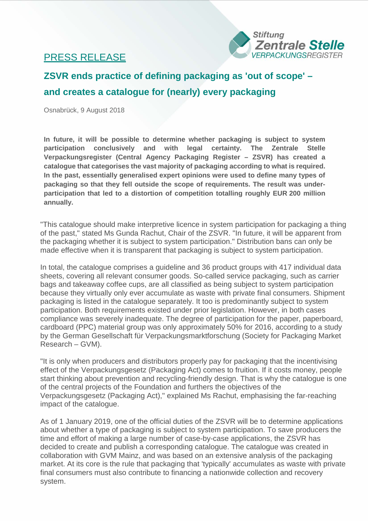## PRESS RELEASE



## **ZSVR ends practice of defining packaging as 'out of scope' – and creates a catalogue for (nearly) every packaging**

Osnabrück, 9 August 2018

**In future, it will be possible to determine whether packaging is subject to system participation conclusively and with legal certainty. The Zentrale Stelle Verpackungsregister (Central Agency Packaging Register – ZSVR) has created a catalogue that categorises the vast majority of packaging according to what is required. In the past, essentially generalised expert opinions were used to define many types of packaging so that they fell outside the scope of requirements. The result was underparticipation that led to a distortion of competition totalling roughly EUR 200 million annually.**

"This catalogue should make interpretive licence in system participation for packaging a thing of the past," stated Ms Gunda Rachut, Chair of the ZSVR. "In future, it will be apparent from the packaging whether it is subject to system participation." Distribution bans can only be made effective when it is transparent that packaging is subject to system participation.

In total, the catalogue comprises a guideline and 36 product groups with 417 individual data sheets, covering all relevant consumer goods. So-called service packaging, such as carrier bags and takeaway coffee cups, are all classified as being subject to system participation because they virtually only ever accumulate as waste with private final consumers. Shipment packaging is listed in the catalogue separately. It too is predominantly subject to system participation. Both requirements existed under prior legislation. However, in both cases compliance was severely inadequate. The degree of participation for the paper, paperboard, cardboard (PPC) material group was only approximately 50% for 2016, according to a study by the German Gesellschaft für Verpackungsmarktforschung (Society for Packaging Market Research – GVM).

"It is only when producers and distributors properly pay for packaging that the incentivising effect of the Verpackungsgesetz (Packaging Act) comes to fruition. If it costs money, people start thinking about prevention and recycling-friendly design. That is why the catalogue is one of the central projects of the Foundation and furthers the objectives of the Verpackungsgesetz (Packaging Act)," explained Ms Rachut, emphasising the far-reaching impact of the catalogue.

As of 1 January 2019, one of the official duties of the ZSVR will be to determine applications about whether a type of packaging is subject to system participation. To save producers the time and effort of making a large number of case-by-case applications, the ZSVR has decided to create and publish a corresponding catalogue. The catalogue was created in collaboration with GVM Mainz, and was based on an extensive analysis of the packaging market. At its core is the rule that packaging that 'typically' accumulates as waste with private final consumers must also contribute to financing a nationwide collection and recovery system.